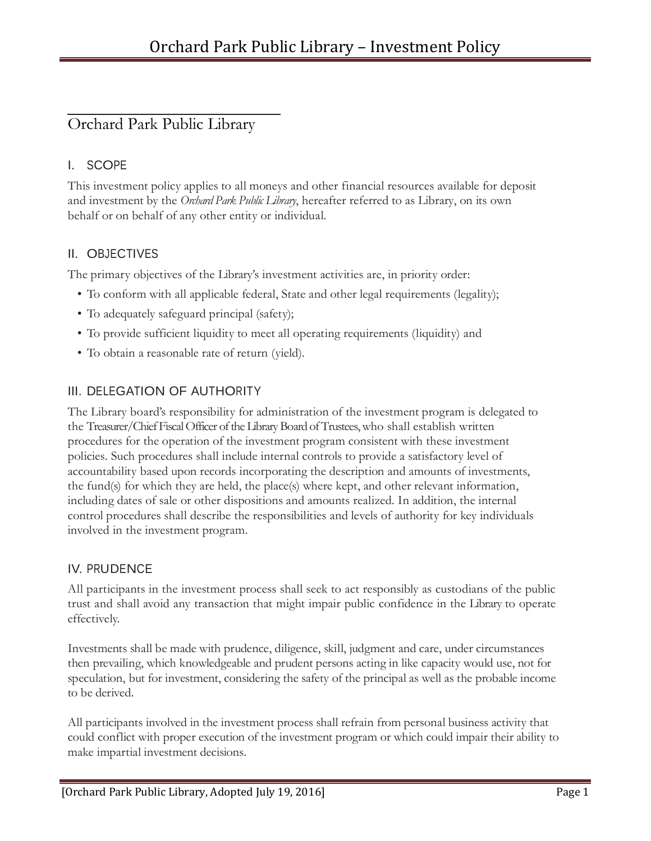# Orchard Park Public Library

# I. SCOPE

This investment policy applies to all moneys and other financial resources available for deposit and investment by the *Orchard Park Public Library*, hereafter referred to as Library, on its own behalf or on behalf of any other entity or individual.

### II. OBJECTIVES

The primary objectives of the Library's investment activities are, in priority order:

- To conform with all applicable federal, State and other legal requirements (legality);
- To adequately safeguard principal (safety);
- To provide sufficient liquidity to meet all operating requirements (liquidity) and
- To obtain a reasonable rate of return (yield).

## III. DELEGATION OF AUTHORITY

The Library board's responsibility for administration of the investment program is delegated to the Treasurer/Chief Fiscal Officer of the Library Board of Trustees, who shall establish written procedures for the operation of the investment program consistent with these investment policies. Such procedures shall include internal controls to provide a satisfactory level of accountability based upon records incorporating the description and amounts of investments, the fund(s) for which they are held, the place(s) where kept, and other relevant information, including dates of sale or other dispositions and amounts realized. In addition, the internal control procedures shall describe the responsibilities and levels of authority for key individuals involved in the investment program.

### IV. PRUDENCE

All participants in the investment process shall seek to act responsibly as custodians of the public trust and shall avoid any transaction that might impair public confidence in the Library to operate effectively.

Investments shall be made with prudence, diligence, skill, judgment and care, under circumstances then prevailing, which knowledgeable and prudent persons acting in like capacity would use, not for speculation, but for investment, considering the safety of the principal as well as the probable income to be derived.

All participants involved in the investment process shall refrain from personal business activity that could conflict with proper execution of the investment program or which could impair their ability to make impartial investment decisions.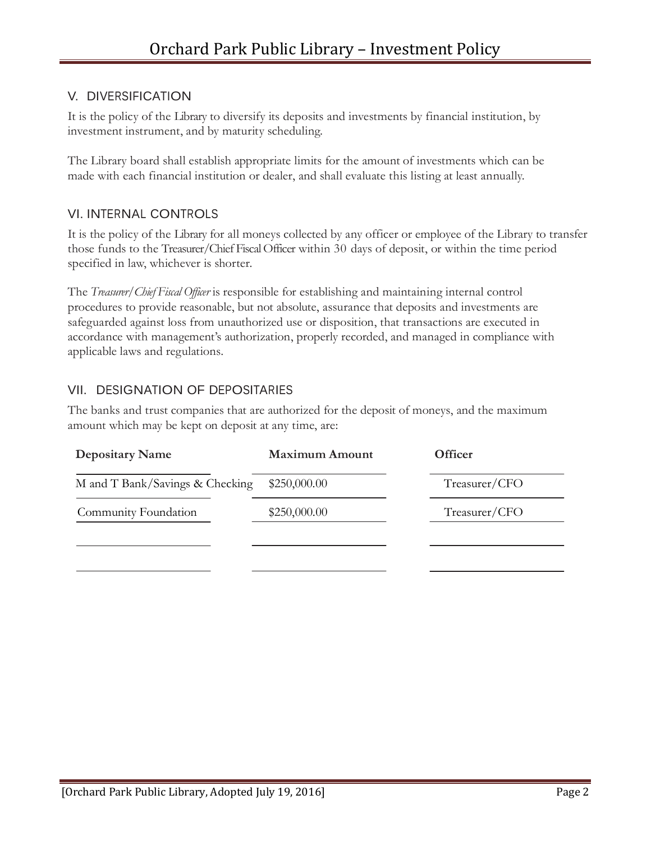#### V. DIVERSIFICATION

It is the policy of the Library to diversify its deposits and investments by financial institution, by investment instrument, and by maturity scheduling.

The Library board shall establish appropriate limits for the amount of investments which can be made with each financial institution or dealer, and shall evaluate this listing at least annually.

#### VI. INTERNAL CONTROLS

It is the policy of the Library for all moneys collected by any officer or employee of the Library to transfer those funds to the Treasurer/Chief Fiscal Officer within 30 days of deposit, or within the time period specified in law, whichever is shorter.

The *Treasurer/Chief Fiscal Officer* is responsible for establishing and maintaining internal control procedures to provide reasonable, but not absolute, assurance that deposits and investments are safeguarded against loss from unauthorized use or disposition, that transactions are executed in accordance with management's authorization, properly recorded, and managed in compliance with applicable laws and regulations.

### VII. DESIGNATION OF DEPOSITARIES

The banks and trust companies that are authorized for the deposit of moneys, and the maximum amount which may be kept on deposit at any time, are:

| <b>Depositary Name</b>          | <b>Maximum Amount</b> | <b>Officer</b> |
|---------------------------------|-----------------------|----------------|
| M and T Bank/Savings & Checking | \$250,000.00          | Treasurer/CFO  |
| Community Foundation            | \$250,000.00          | Treasurer/CFO  |
|                                 |                       |                |
|                                 |                       |                |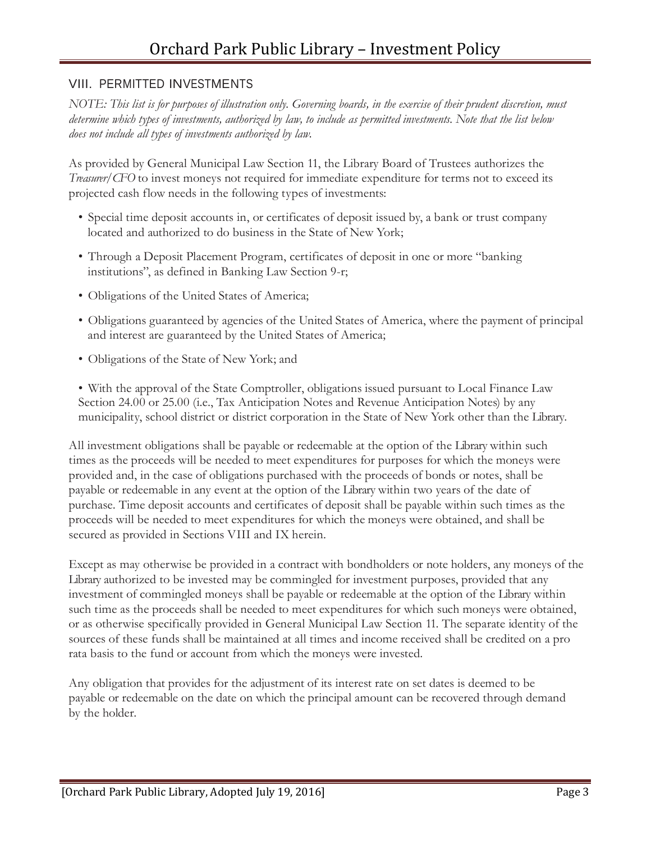#### VIII. PERMITTED INVESTMENTS

NOTE: This list is for purposes of illustration only. Governing boards, in the exercise of their prudent discretion, must determine which types of investments, authorized by law, to include as permitted investments. Note that the list below *does not include all types of investments authorized by law.*

As provided by General Municipal Law Section 11, the Library Board of Trustees authorizes the *Treasurer/CFO* to invest moneys not required for immediate expenditure for terms not to exceed its projected cash flow needs in the following types of investments:

- Special time deposit accounts in, or certificates of deposit issued by, a bank or trust company located and authorized to do business in the State of New York;
- Through a Deposit Placement Program, certificates of deposit in one or more "banking institutions", as defined in Banking Law Section 9-r;
- Obligations of the United States of America;
- Obligations guaranteed by agencies of the United States of America, where the payment of principal and interest are guaranteed by the United States of America;
- Obligations of the State of New York; and

• With the approval of the State Comptroller, obligations issued pursuant to Local Finance Law Section 24.00 or 25.00 (i.e., Tax Anticipation Notes and Revenue Anticipation Notes) by any municipality, school district or district corporation in the State of New York other than the Library.

All investment obligations shall be payable or redeemable at the option of the Library within such times as the proceeds will be needed to meet expenditures for purposes for which the moneys were provided and, in the case of obligations purchased with the proceeds of bonds or notes, shall be payable or redeemable in any event at the option of the Library within two years of the date of purchase. Time deposit accounts and certificates of deposit shall be payable within such times as the proceeds will be needed to meet expenditures for which the moneys were obtained, and shall be secured as provided in Sections VIII and IX herein.

Except as may otherwise be provided in a contract with bondholders or note holders, any moneys of the Library authorized to be invested may be commingled for investment purposes, provided that any investment of commingled moneys shall be payable or redeemable at the option of the Library within such time as the proceeds shall be needed to meet expenditures for which such moneys were obtained, or as otherwise specifically provided in General Municipal Law Section 11. The separate identity of the sources of these funds shall be maintained at all times and income received shall be credited on a pro rata basis to the fund or account from which the moneys were invested.

Any obligation that provides for the adjustment of its interest rate on set dates is deemed to be payable or redeemable on the date on which the principal amount can be recovered through demand by the holder.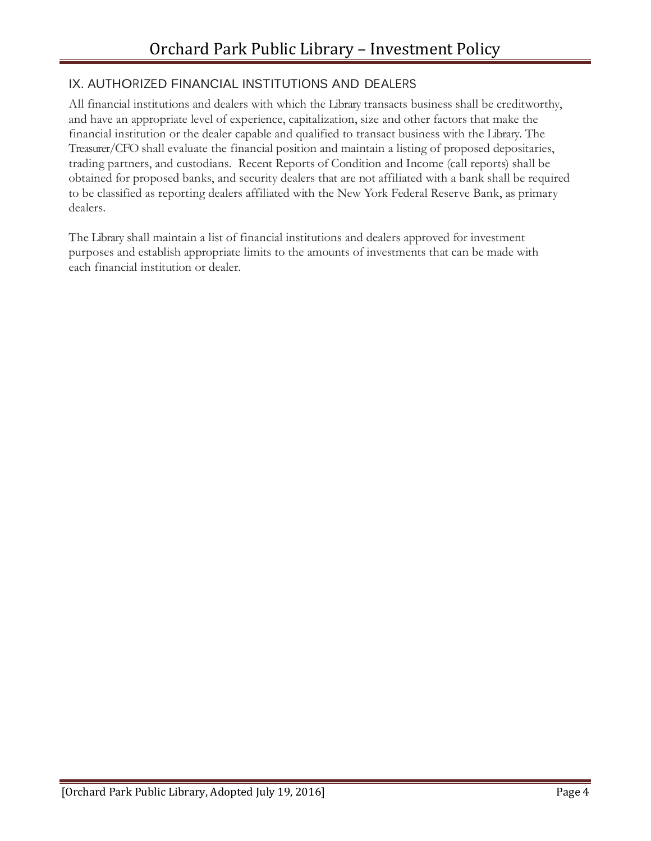### IX. AUTHORIZED FINANCIAL INSTITUTIONS AND DEALERS

All financial institutions and dealers with which the Library transacts business shall be creditworthy, and have an appropriate level of experience, capitalization, size and other factors that make the financial institution or the dealer capable and qualified to transact business with the Library. The Treasurer/CFO shall evaluate the financial position and maintain a listing of proposed depositaries, trading partners, and custodians. Recent Reports of Condition and Income (call reports) shall be obtained for proposed banks, and security dealers that are not affiliated with a bank shall be required to be classified as reporting dealers affiliated with the New York Federal Reserve Bank, as primary dealers.

The Library shall maintain a list of financial institutions and dealers approved for investment purposes and establish appropriate limits to the amounts of investments that can be made with each financial institution or dealer.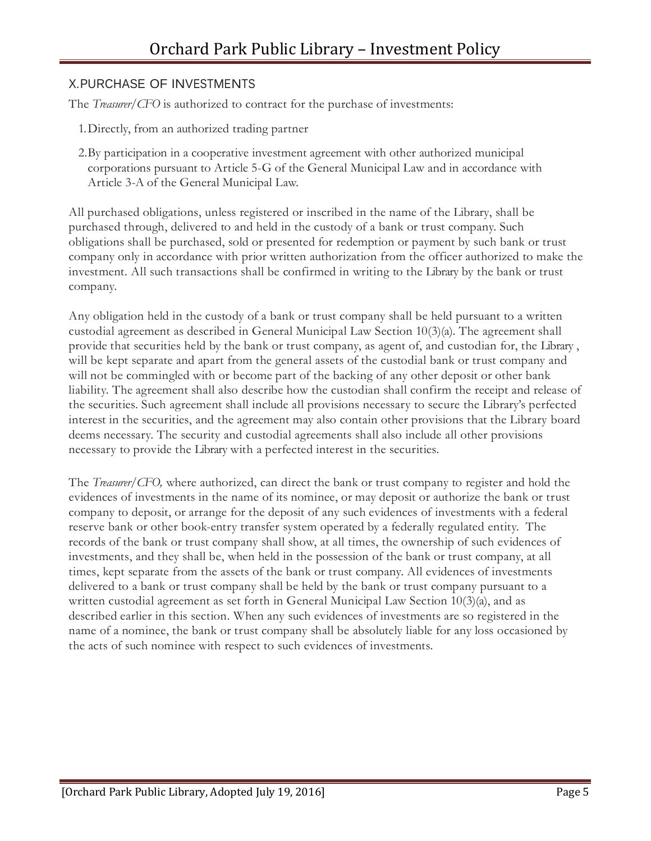#### X.PURCHASE OF INVESTMENTS

The *Treasurer/CFO* is authorized to contract for the purchase of investments:

- 1.Directly, from an authorized trading partner
- 2.By participation in a cooperative investment agreement with other authorized municipal corporations pursuant to Article 5-G of the General Municipal Law and in accordance with Article 3-A of the General Municipal Law.

All purchased obligations, unless registered or inscribed in the name of the Library, shall be purchased through, delivered to and held in the custody of a bank or trust company. Such obligations shall be purchased, sold or presented for redemption or payment by such bank or trust company only in accordance with prior written authorization from the officer authorized to make the investment. All such transactions shall be confirmed in writing to the Library by the bank or trust company.

Any obligation held in the custody of a bank or trust company shall be held pursuant to a written custodial agreement as described in General Municipal Law Section 10(3)(a). The agreement shall provide that securities held by the bank or trust company, as agent of, and custodian for, the Library , will be kept separate and apart from the general assets of the custodial bank or trust company and will not be commingled with or become part of the backing of any other deposit or other bank liability. The agreement shall also describe how the custodian shall confirm the receipt and release of the securities. Such agreement shall include all provisions necessary to secure the Library's perfected interest in the securities, and the agreement may also contain other provisions that the Library board deems necessary. The security and custodial agreements shall also include all other provisions necessary to provide the Library with a perfected interest in the securities.

The *Treasurer/CFO,* where authorized, can direct the bank or trust company to register and hold the evidences of investments in the name of its nominee, or may deposit or authorize the bank or trust company to deposit, or arrange for the deposit of any such evidences of investments with a federal reserve bank or other book-entry transfer system operated by a federally regulated entity. The records of the bank or trust company shall show, at all times, the ownership of such evidences of investments, and they shall be, when held in the possession of the bank or trust company, at all times, kept separate from the assets of the bank or trust company. All evidences of investments delivered to a bank or trust company shall be held by the bank or trust company pursuant to a written custodial agreement as set forth in General Municipal Law Section 10(3)(a), and as described earlier in this section. When any such evidences of investments are so registered in the name of a nominee, the bank or trust company shall be absolutely liable for any loss occasioned by the acts of such nominee with respect to such evidences of investments.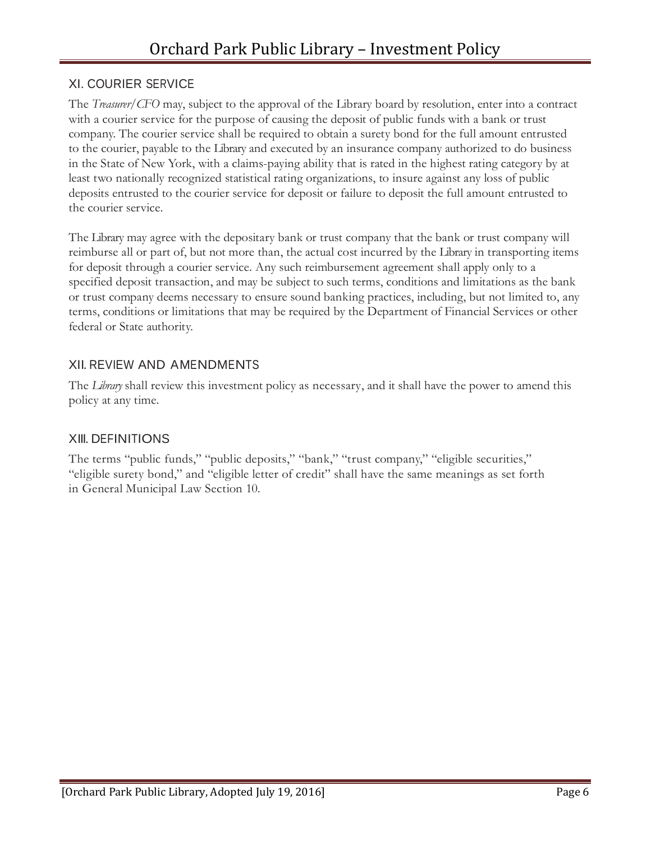### XI. COURIER SERVICE

The *Treasurer/CFO* may, subject to the approval of the Library board by resolution, enter into a contract with a courier service for the purpose of causing the deposit of public funds with a bank or trust company. The courier service shall be required to obtain a surety bond for the full amount entrusted to the courier, payable to the Library and executed by an insurance company authorized to do business in the State of New York, with a claims-paying ability that is rated in the highest rating category by at least two nationally recognized statistical rating organizations, to insure against any loss of public deposits entrusted to the courier service for deposit or failure to deposit the full amount entrusted to the courier service.

The Library may agree with the depositary bank or trust company that the bank or trust company will reimburse all or part of, but not more than, the actual cost incurred by the Library in transporting items for deposit through a courier service. Any such reimbursement agreement shall apply only to a specified deposit transaction, and may be subject to such terms, conditions and limitations as the bank or trust company deems necessary to ensure sound banking practices, including, but not limited to, any terms, conditions or limitations that may be required by the Department of Financial Services or other federal or State authority.

# XII. REVIEW AND AMENDMENTS

The *Library* shall review this investment policy as necessary, and it shall have the power to amend this policy at any time.

### XIII. DEFINITIONS

The terms "public funds," "public deposits," "bank," "trust company," "eligible securities," "eligible surety bond," and "eligible letter of credit" shall have the same meanings as set forth in General Municipal Law Section 10.